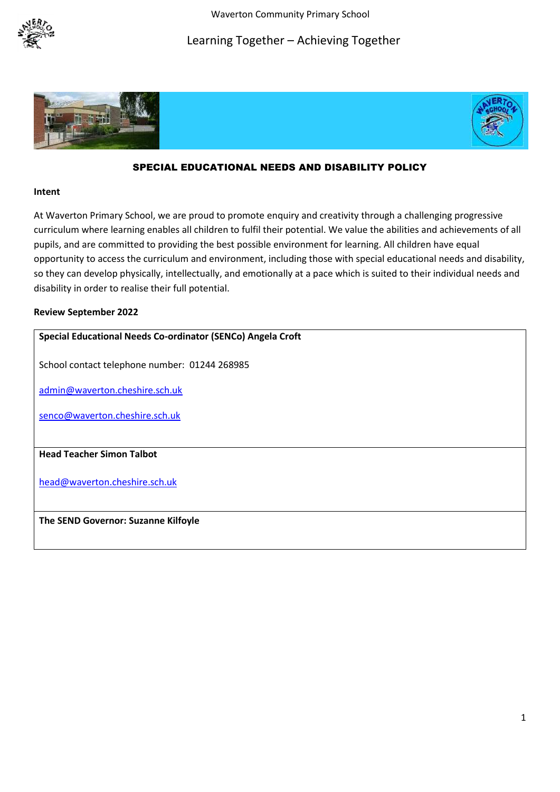





## SPECIAL EDUCATIONAL NEEDS AND DISABILITY POLICY

#### **Intent**

At Waverton Primary School, we are proud to promote enquiry and creativity through a challenging progressive curriculum where learning enables all children to fulfil their potential. We value the abilities and achievements of all pupils, and are committed to providing the best possible environment for learning. All children have equal opportunity to access the curriculum and environment, including those with special educational needs and disability, so they can develop physically, intellectually, and emotionally at a pace which is suited to their individual needs and disability in order to realise their full potential.

#### **Review September 2022**

#### **Special Educational Needs Co-ordinator (SENCo) Angela Croft**

School contact telephone number: 01244 268985

[admin@waverton.cheshire.sch.uk](mailto:admin@waverton.cheshire.sch.uk)

[senco@waverton.cheshire.sch.uk](mailto:senco@waverton.cheshire.sch.uk)

#### **Head Teacher Simon Talbot**

[head@waverton.cheshire.sch.uk](mailto:head@waverton.cheshire.sch.uk)

**The SEND Governor: Suzanne Kilfoyle**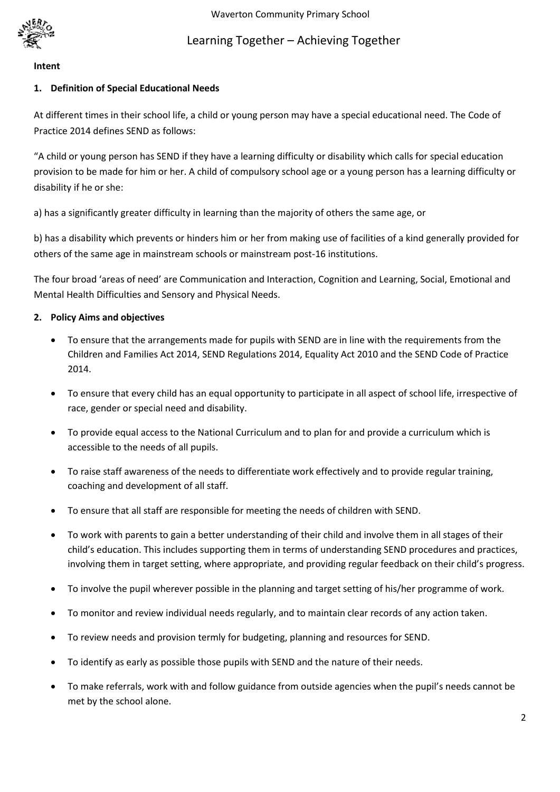

#### **Intent**

#### **1. Definition of Special Educational Needs**

At different times in their school life, a child or young person may have a special educational need. The Code of Practice 2014 defines SEND as follows:

"A child or young person has SEND if they have a learning difficulty or disability which calls for special education provision to be made for him or her. A child of compulsory school age or a young person has a learning difficulty or disability if he or she:

a) has a significantly greater difficulty in learning than the majority of others the same age, or

b) has a disability which prevents or hinders him or her from making use of facilities of a kind generally provided for others of the same age in mainstream schools or mainstream post-16 institutions.

The four broad 'areas of need' are Communication and Interaction, Cognition and Learning, Social, Emotional and Mental Health Difficulties and Sensory and Physical Needs.

#### **2. Policy Aims and objectives**

- To ensure that the arrangements made for pupils with SEND are in line with the requirements from the Children and Families Act 2014, SEND Regulations 2014, Equality Act 2010 and the SEND Code of Practice 2014.
- To ensure that every child has an equal opportunity to participate in all aspect of school life, irrespective of race, gender or special need and disability.
- To provide equal access to the National Curriculum and to plan for and provide a curriculum which is accessible to the needs of all pupils.
- To raise staff awareness of the needs to differentiate work effectively and to provide regular training, coaching and development of all staff.
- To ensure that all staff are responsible for meeting the needs of children with SEND.
- To work with parents to gain a better understanding of their child and involve them in all stages of their child's education. This includes supporting them in terms of understanding SEND procedures and practices, involving them in target setting, where appropriate, and providing regular feedback on their child's progress.
- To involve the pupil wherever possible in the planning and target setting of his/her programme of work.
- To monitor and review individual needs regularly, and to maintain clear records of any action taken.
- To review needs and provision termly for budgeting, planning and resources for SEND.
- To identify as early as possible those pupils with SEND and the nature of their needs.
- To make referrals, work with and follow guidance from outside agencies when the pupil's needs cannot be met by the school alone.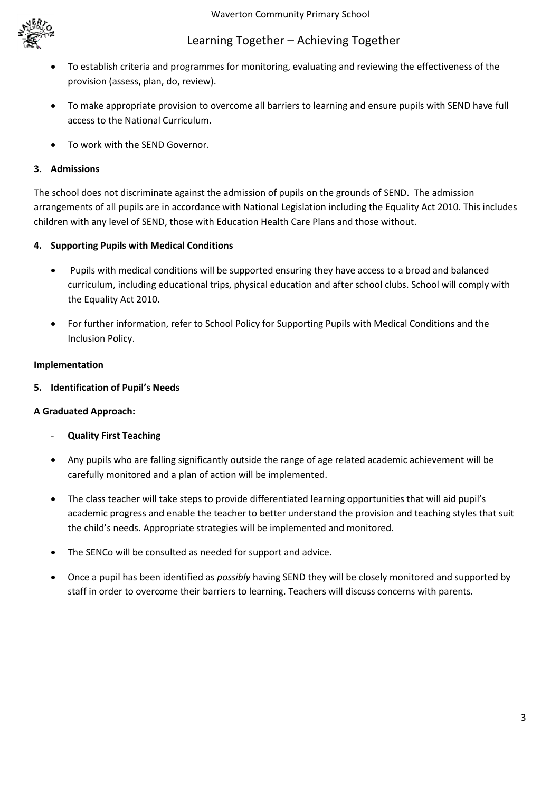

- To establish criteria and programmes for monitoring, evaluating and reviewing the effectiveness of the provision (assess, plan, do, review).
- To make appropriate provision to overcome all barriers to learning and ensure pupils with SEND have full access to the National Curriculum.
- To work with the SEND Governor.

## **3. Admissions**

The school does not discriminate against the admission of pupils on the grounds of SEND. The admission arrangements of all pupils are in accordance with National Legislation including the Equality Act 2010. This includes children with any level of SEND, those with Education Health Care Plans and those without.

## **4. Supporting Pupils with Medical Conditions**

- Pupils with medical conditions will be supported ensuring they have access to a broad and balanced curriculum, including educational trips, physical education and after school clubs. School will comply with the Equality Act 2010.
- For further information, refer to School Policy for Supporting Pupils with Medical Conditions and the Inclusion Policy.

#### **Implementation**

## **5. Identification of Pupil's Needs**

## **A Graduated Approach:**

- **Quality First Teaching**
- Any pupils who are falling significantly outside the range of age related academic achievement will be carefully monitored and a plan of action will be implemented.
- The class teacher will take steps to provide differentiated learning opportunities that will aid pupil's academic progress and enable the teacher to better understand the provision and teaching styles that suit the child's needs. Appropriate strategies will be implemented and monitored.
- The SENCo will be consulted as needed for support and advice.
- Once a pupil has been identified as *possibly* having SEND they will be closely monitored and supported by staff in order to overcome their barriers to learning. Teachers will discuss concerns with parents.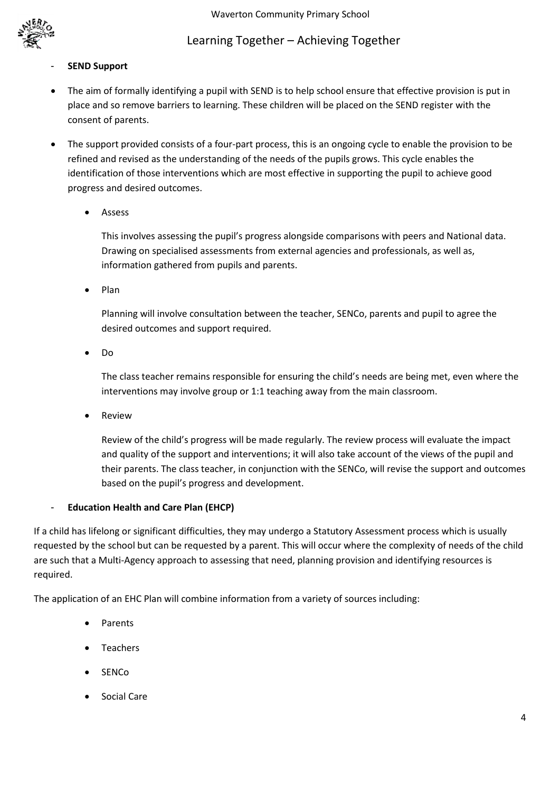

## - **SEND Support**

- The aim of formally identifying a pupil with SEND is to help school ensure that effective provision is put in place and so remove barriers to learning. These children will be placed on the SEND register with the consent of parents.
- The support provided consists of a four-part process, this is an ongoing cycle to enable the provision to be refined and revised as the understanding of the needs of the pupils grows. This cycle enables the identification of those interventions which are most effective in supporting the pupil to achieve good progress and desired outcomes.
	- Assess

This involves assessing the pupil's progress alongside comparisons with peers and National data. Drawing on specialised assessments from external agencies and professionals, as well as, information gathered from pupils and parents.

• Plan

Planning will involve consultation between the teacher, SENCo, parents and pupil to agree the desired outcomes and support required.

Do

The class teacher remains responsible for ensuring the child's needs are being met, even where the interventions may involve group or 1:1 teaching away from the main classroom.

Review

Review of the child's progress will be made regularly. The review process will evaluate the impact and quality of the support and interventions; it will also take account of the views of the pupil and their parents. The class teacher, in conjunction with the SENCo, will revise the support and outcomes based on the pupil's progress and development.

#### - **Education Health and Care Plan (EHCP)**

If a child has lifelong or significant difficulties, they may undergo a Statutory Assessment process which is usually requested by the school but can be requested by a parent. This will occur where the complexity of needs of the child are such that a Multi-Agency approach to assessing that need, planning provision and identifying resources is required.

The application of an EHC Plan will combine information from a variety of sources including:

- Parents
- Teachers
- SENCo
- Social Care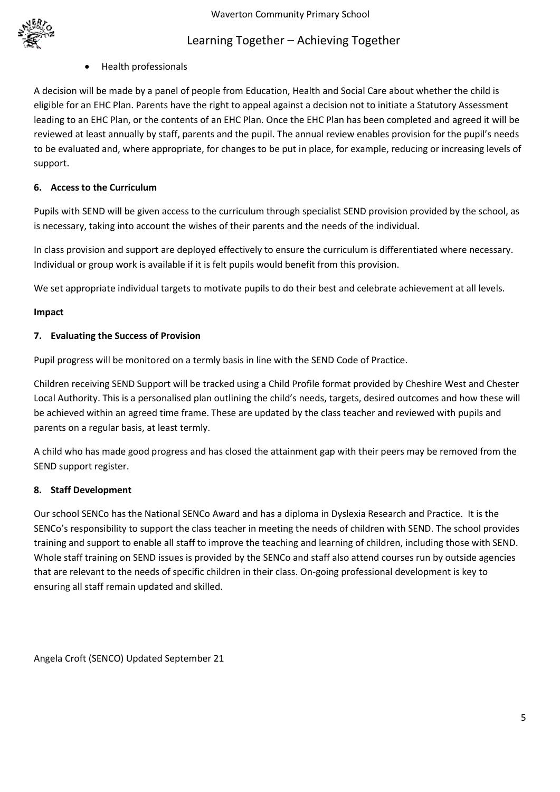

#### Health professionals

A decision will be made by a panel of people from Education, Health and Social Care about whether the child is eligible for an EHC Plan. Parents have the right to appeal against a decision not to initiate a Statutory Assessment leading to an EHC Plan, or the contents of an EHC Plan. Once the EHC Plan has been completed and agreed it will be reviewed at least annually by staff, parents and the pupil. The annual review enables provision for the pupil's needs to be evaluated and, where appropriate, for changes to be put in place, for example, reducing or increasing levels of support.

#### **6. Access to the Curriculum**

Pupils with SEND will be given access to the curriculum through specialist SEND provision provided by the school, as is necessary, taking into account the wishes of their parents and the needs of the individual.

In class provision and support are deployed effectively to ensure the curriculum is differentiated where necessary. Individual or group work is available if it is felt pupils would benefit from this provision.

We set appropriate individual targets to motivate pupils to do their best and celebrate achievement at all levels.

#### **Impact**

#### **7. Evaluating the Success of Provision**

Pupil progress will be monitored on a termly basis in line with the SEND Code of Practice.

Children receiving SEND Support will be tracked using a Child Profile format provided by Cheshire West and Chester Local Authority. This is a personalised plan outlining the child's needs, targets, desired outcomes and how these will be achieved within an agreed time frame. These are updated by the class teacher and reviewed with pupils and parents on a regular basis, at least termly.

A child who has made good progress and has closed the attainment gap with their peers may be removed from the SEND support register.

#### **8. Staff Development**

Our school SENCo has the National SENCo Award and has a diploma in Dyslexia Research and Practice. It is the SENCo's responsibility to support the class teacher in meeting the needs of children with SEND. The school provides training and support to enable all staff to improve the teaching and learning of children, including those with SEND. Whole staff training on SEND issues is provided by the SENCo and staff also attend courses run by outside agencies that are relevant to the needs of specific children in their class. On-going professional development is key to ensuring all staff remain updated and skilled.

Angela Croft (SENCO) Updated September 21